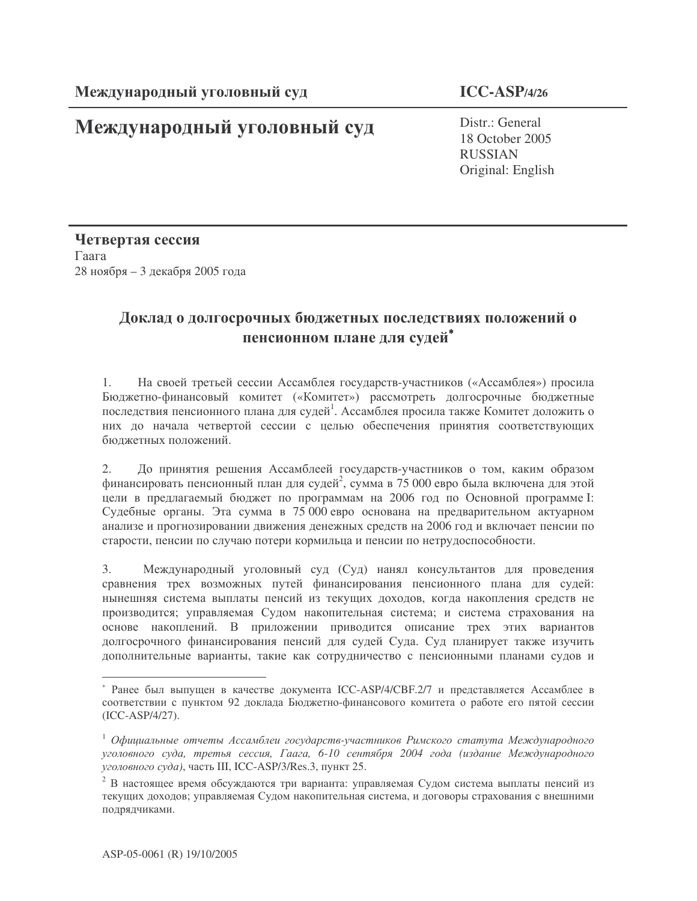# Международный уголовный суд

Distr.: General 18 October 2005 RUSSIAN Original: English

Четвертая сессия  $\Gamma$ аага 28 ноября — 3 декабря 2005 года

# Доклад о долгосрочных бюджетных последствиях положений о пенсионном плане для судей\*

1. На своей третьей сессии Ассамблея государств-участников («Ассамблея») просила Бюджетно-финансовый комитет («Комитет») рассмотреть долгосрочные бюджетные последствия пенсионного плана для судей<sup>1</sup>. Ассамблея просила также Комитет доложить о них до начала четвертой сессии с целью обеспечения принятия соответствующих бюджетных положений.

2. До принятия решения Ассамблеей государств-участников о том, каким образом финансировать пенсионный план для судей<sup>2</sup>, сумма в 75 000 евро была включена для этой цели в предлагаемый бюджет по программам на 2006 год по Основной программе I: Судебные органы. Эта сумма в 75 000 евро основана на предварительном актуарном анализе и прогнозировании движения денежных средств на 2006 год и включает пенсии по старости, пенсии по случаю потери кормильца и пенсии по нетрудоспособности.

3. Международный уголовный суд (Суд) нанял консультантов для проведения сравнения трех возможных путей финансирования пенсионного плана для судей: нынешняя система выплаты пенсий из текущих доходов, когда накопления средств не производится; управляемая Судом накопительная система; и система страхования на основе накоплений. В приложении приводится описание трех этих вариантов долгосрочного финансирования пенсий для судей Суда. Суд планирует также изучить дополнительные варианты, такие как сотрудничество с пенсионными планами судов и

<sup>\*</sup> Ранее был выпущен в качестве документа ICC-ASP/4/CBF.2/7 и представляется Ассамблее в соответствии с пунктом 92 доклада Бюджетно-финансового комитета о работе его пятой сессии (ICC-ASP/4/27).

 $^1$  Официальные отчеты Ассамблеи государств-участников Римского статута Международного уголовного суда, третья сессия, Гаага, 6-10 сентября 2004 года (издание Международного уголовного суда), часть III, ICC-ASP/3/Res.3, пункт 25.

 $2$  В настоящее время обсуждаются три варианта: управляемая Судом система выплаты пенсий из текущих доходов; управляемая Судом накопительная система, и договоры страхования с внешними подрядчиками.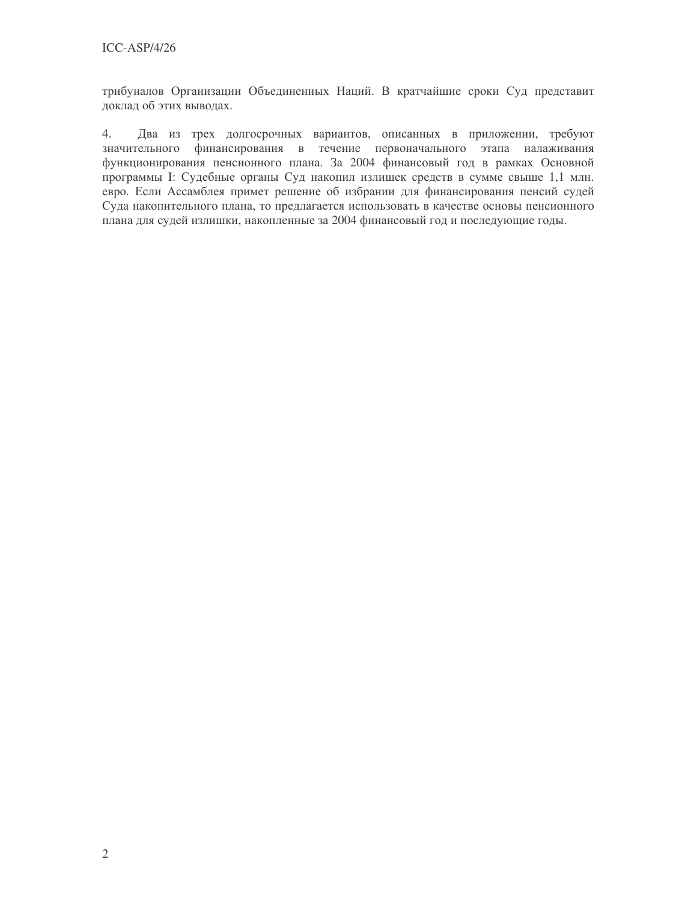трибуналов Организации Объединенных Наций. В кратчайшие сроки Суд представит доклад об этих выводах.

 $4.$ Два из трех долгосрочных вариантов, описанных в приложении, требуют значительного финансирования в течение первоначального этапа налаживания функционирования пенсионного плана. За 2004 финансовый год в рамках Основной программы І: Судебные органы Суд накопил излишек средств в сумме свыше 1.1 млн. евро. Если Ассамблея примет решение об избрании для финансирования пенсий судей Суда накопительного плана, то предлагается использовать в качестве основы пенсионного плана для судей излишки, накопленные за 2004 финансовый год и последующие годы.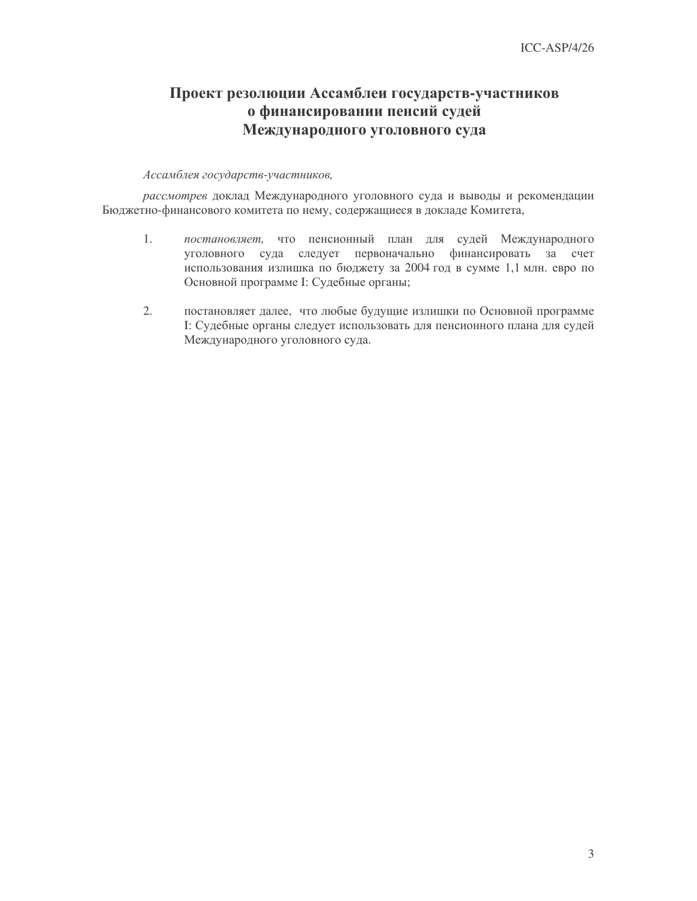# Проект резолюции Ассамблеи государств-участников о финансировании пенсий судей Международного уголовного суда

### Ассамблея государств-участников,

рассмотрев доклад Международного уголовного суда и выводы и рекомендации Бюджетно-финансового комитета по нему, содержащиеся в докладе Комитета,

- $1.$ постановляет, что пенсионный план для судей Международного уголовного суда следует первоначально финансировать за счет использования излишка по бюджету за 2004 год в сумме 1,1 млн. евро по Основной программе І: Судебные органы;
- 2. постановляет далее, что любые будущие излишки по Основной программе I: Судебные органы следует использовать для пенсионного плана для судей Международного уголовного суда.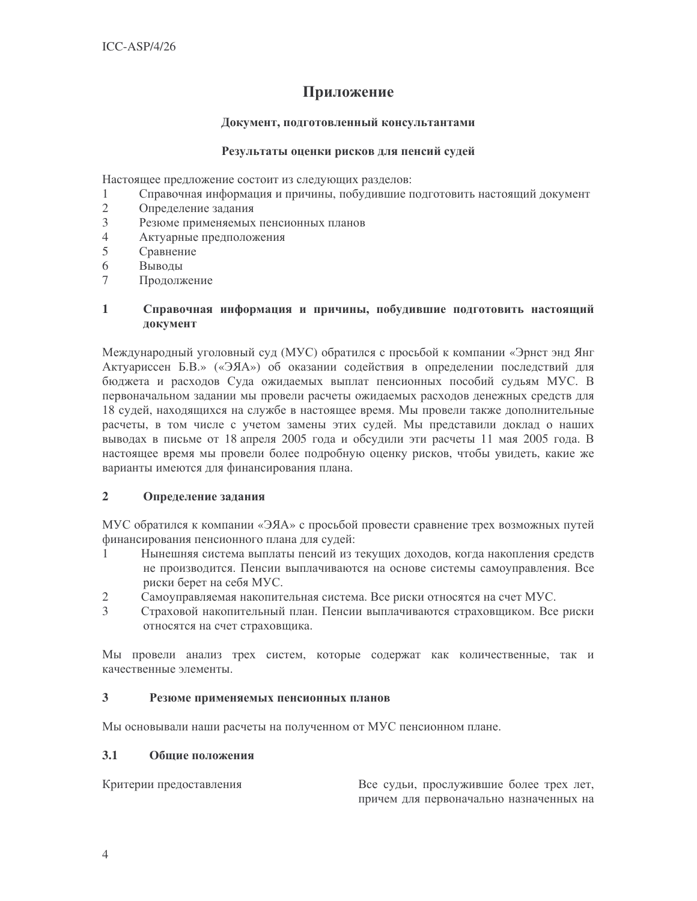## Приложение

### Документ, подготовленный консультантами

### Результаты оценки рисков для пенсий судей

Настоящее предложение состоит из следующих разделов:

- Справочная информация и причины, побудившие подготовить настоящий документ  $\mathbf{1}$
- $\overline{2}$ Определение задания
- 3 Резюме применяемых пенсионных планов
- $\overline{4}$ Актуарные предположения
- 5 Сравнение
- 6 Выводы
- $\tau$ Продолжение

#### $\mathbf{1}$ Справочная информация и причины, побудившие подготовить настоящий документ

Международный уголовный суд (МУС) обратился с просьбой к компании «Эрнст энд Янг Актуариссен Б.В.» («ЭЯА») об оказании содействия в определении последствий для бюджета и расходов Суда ожидаемых выплат пенсионных пособий судьям МУС. В первоначальном задании мы провели расчеты ожидаемых расходов денежных средств для 18 судей, находящихся на службе в настоящее время. Мы провели также дополнительные расчеты, в том числе с учетом замены этих судей. Мы представили доклад о наших выводах в письме от 18 апреля 2005 года и обсудили эти расчеты 11 мая 2005 года. В настоящее время мы провели более подробную оценку рисков, чтобы увидеть, какие же варианты имеются для финансирования плана.

#### $\overline{2}$ Определение задания

МУС обратился к компании «ЭЯА» с просьбой провести сравнение трех возможных путей финансирования пенсионного плана для судей:

- $\mathbf{1}$ Нынешняя система выплаты пенсий из текущих доходов, когда накопления средств не производится. Пенсии выплачиваются на основе системы самоуправления. Все риски берет на себя МУС.
- $\overline{2}$ Самоуправляемая накопительная система. Все риски относятся на счет МУС.
- $\mathcal{L}$ Страховой накопительный план. Пенсии выплачиваются страховщиком. Все риски относятся на счет страховщика.

Мы провели анализ трех систем, которые содержат как количественные, так и качественные элементы.

#### $3<sup>1</sup>$ Резюме применяемых пенсионных планов

Мы основывали наши расчеты на полученном от МУС пенсионном плане.

#### $3.1$ Обшие положения

Критерии предоставления

Все судьи, прослужившие более трех лет, причем для первоначально назначенных на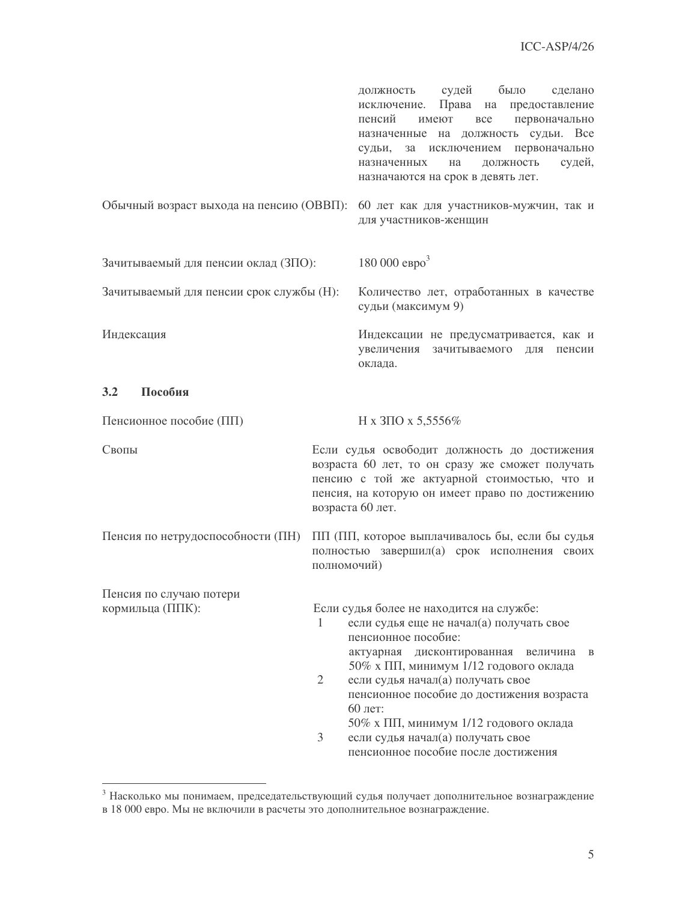|                                             |                                                                                                                                                                                                                       | должность судей было<br>сделано<br>исключение. Права на предоставление<br>пенсий<br>$_{\rm BCC}$<br>первоначально<br>имеют<br>назначенные на должность судьи. Все<br>за исключением первоначально<br>судьи,<br>судей,<br>должность<br>назначенных<br>на<br>назначаются на срок в девять лет.                                                                                                                            |  |  |
|---------------------------------------------|-----------------------------------------------------------------------------------------------------------------------------------------------------------------------------------------------------------------------|-------------------------------------------------------------------------------------------------------------------------------------------------------------------------------------------------------------------------------------------------------------------------------------------------------------------------------------------------------------------------------------------------------------------------|--|--|
| Обычный возраст выхода на пенсию (ОВВП):    |                                                                                                                                                                                                                       | 60 лет как для участников-мужчин, так и<br>для участников-женщин                                                                                                                                                                                                                                                                                                                                                        |  |  |
| Зачитываемый для пенсии оклад (ЗПО):        |                                                                                                                                                                                                                       | 180 000 евро <sup>3</sup>                                                                                                                                                                                                                                                                                                                                                                                               |  |  |
| Зачитываемый для пенсии срок службы (Н):    |                                                                                                                                                                                                                       | Количество лет, отработанных в качестве<br>судьи (максимум 9)                                                                                                                                                                                                                                                                                                                                                           |  |  |
| Индексация                                  |                                                                                                                                                                                                                       | Индексации не предусматривается, как и<br>увеличения<br>зачитываемого<br>ДЛЯ<br>пенсии<br>оклада.                                                                                                                                                                                                                                                                                                                       |  |  |
| Пособия<br>3.2                              |                                                                                                                                                                                                                       |                                                                                                                                                                                                                                                                                                                                                                                                                         |  |  |
| Пенсионное пособие (ПП)                     |                                                                                                                                                                                                                       | Н х ЗПО х 5,5556%                                                                                                                                                                                                                                                                                                                                                                                                       |  |  |
| Свопы                                       | Если судья освободит должность до достижения<br>возраста 60 лет, то он сразу же сможет получать<br>пенсию с той же актуарной стоимостью, что и<br>пенсия, на которую он имеет право по достижению<br>возраста 60 лет. |                                                                                                                                                                                                                                                                                                                                                                                                                         |  |  |
| Пенсия по нетрудоспособности (ПН)           | ПП (ПП, которое выплачивалось бы, если бы судья<br>полностью завершил(а) срок исполнения своих<br>полномочий)                                                                                                         |                                                                                                                                                                                                                                                                                                                                                                                                                         |  |  |
| Пенсия по случаю потери<br>кормильца (ППК): | 1<br>$\overline{2}$<br>$\mathfrak{Z}$                                                                                                                                                                                 | Если судья более не находится на службе:<br>если судья еще не начал(а) получать свое<br>пенсионное пособие:<br>актуарная дисконтированная<br>величина<br>B<br>50% х ПП, минимум 1/12 годового оклада<br>если судья начал(а) получать свое<br>пенсионное пособие до достижения возраста<br>60 лет:<br>50% х ПП, минимум 1/12 годового оклада<br>если судья начал(а) получать свое<br>пенсионное пособие после достижения |  |  |

 $^3$ Насколько мы понимаем, председательствующий судья получает дополнительное вознаграждение в 18 000 евро. Мы не включили в расчеты это дополнительное вознаграждение.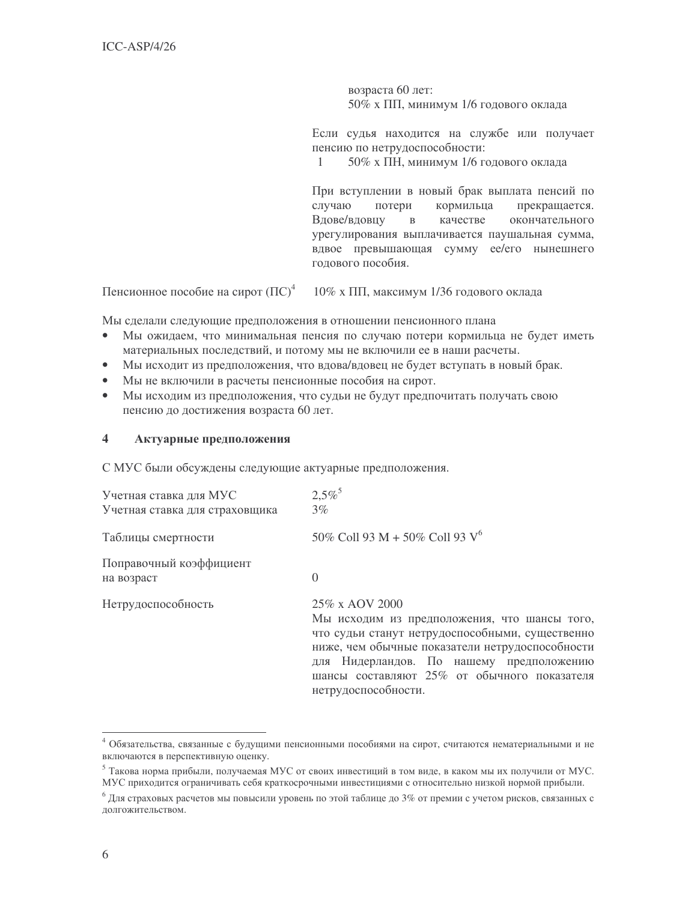возраста 60 лет: 50% х ПП, минимум 1/6 годового оклада

Если судья находится на службе или получает пенсию по нетрудоспособности:

 $\mathbf{1}$ 50% х ПН, минимум 1/6 годового оклада

При вступлении в новый брак выплата пенсий по случаю потери кормильца прекращается. Вдове/вдовцу качестве  $\mathbf{B}$ окончательного урегулирования выплачивается паушальная сумма. вдвое превышающая сумму ее/его нынешнего годового пособия.

Пенсионное пособие на сирот  $(\Pi C)^4$ 10% х ПП, максимум 1/36 годового оклада

Мы сделали следующие предположения в отношении пенсионного плана

- $\bullet$ Мы ожидаем, что минимальная пенсия по случаю потери кормильца не будет иметь материальных последствий, и потому мы не включили ее в наши расчеты.
- Мы исходит из предположения, что вдова/вдовец не будет вступать в новый брак.  $\bullet$
- Мы не включили в расчеты пенсионные пособия на сирот.  $\bullet$
- $\bullet$ Мы исходим из предположения, что судьи не будут предпочитать получать свою пенсию до достижения возраста 60 лет.

#### $\overline{\mathbf{4}}$ Актуарные предположения

С МУС были обсуждены следующие актуарные предположения.

| Учетная ставка для МУС<br>Учетная ставка для страховщика | $2.5\%$ <sup>5</sup><br>$3\%$                                                                                                                                                                                                                                                           |
|----------------------------------------------------------|-----------------------------------------------------------------------------------------------------------------------------------------------------------------------------------------------------------------------------------------------------------------------------------------|
| Таблицы смертности                                       | 50% Coll 93 M + 50% Coll 93 V <sup>6</sup>                                                                                                                                                                                                                                              |
| Поправочный коэффициент<br>на возраст                    | $\Omega$                                                                                                                                                                                                                                                                                |
| Нетрудоспособность                                       | 25\% x AOV 2000<br>Мы исходим из предположения, что шансы того,<br>что судьи станут нетрудоспособными, существенно<br>ниже, чем обычные показатели нетрудоспособности<br>для Нидерландов. По нашему предположению<br>шансы составляют 25% от обычного показателя<br>нетрудоспособности. |

 $4$  Обязательства, связанные с будущими пенсионными пособиями на сирот, считаются нематериальными и не включаются в перспективную оценку.

<sup>&</sup>lt;sup>5</sup> Такова норма прибыли, получаемая МУС от своих инвестиций в том виде, в каком мы их получили от МУС. МУС приходится ограничивать себя краткосрочными инвестициями с относительно низкой нормой прибыли.

 $6$  Для страховых расчетов мы повысили уровень по этой таблице до 3% от премии с учетом рисков, связанных с долгожительством.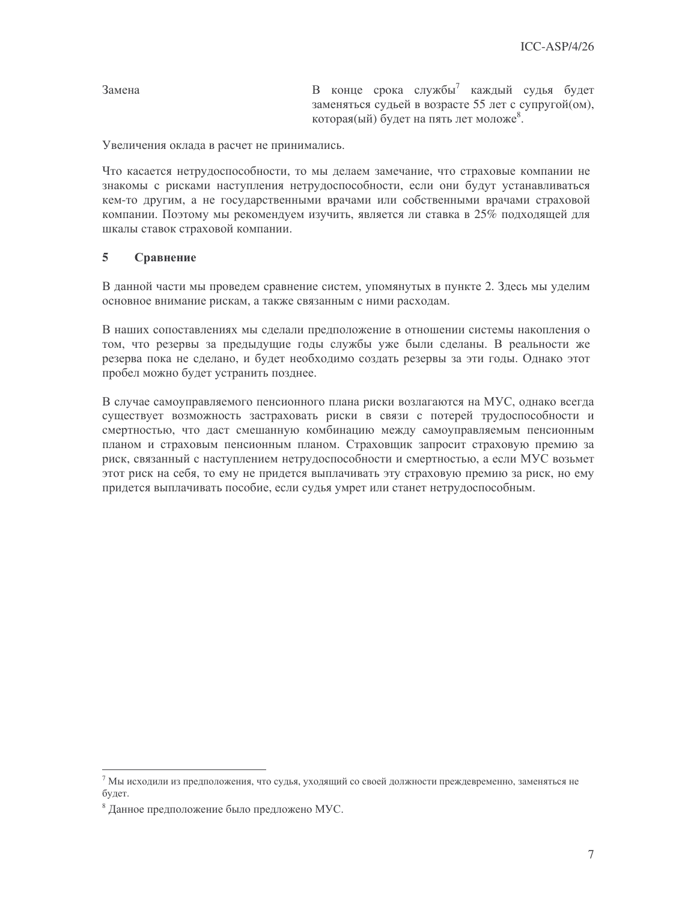Замена

В конце срока службы<sup>7</sup> каждый судья булет заменяться судьей в возрасте 55 лет с супругой(ом), которая(ый) будет на пять лет моложе<sup>8</sup>.

Увеличения оклада в расчет не принимались.

Что касается нетрудоспособности, то мы делаем замечание, что страховые компании не знакомы с рисками наступления нетрудоспособности, если они будут устанавливаться кем-то другим, а не государственными врачами или собственными врачами страховой компании. Поэтому мы рекомендуем изучить, является ли ставка в 25% подходящей для шкалы ставок страховой компании.

#### 5 Сравнение

В данной части мы проведем сравнение систем, упомянутых в пункте 2. Здесь мы уделим основное внимание рискам, а также связанным с ними расходам.

В наших сопоставлениях мы сделали предположение в отношении системы накопления о том, что резервы за предыдущие годы службы уже были сделаны. В реальности же резерва пока не сделано, и будет необходимо создать резервы за эти годы. Однако этот пробел можно будет устранить позднее.

В случае самоуправляемого пенсионного плана риски возлагаются на МУС, однако всегда существует возможность застраховать риски в связи с потерей трудоспособности и смертностью, что даст смешанную комбинацию между самоуправляемым пенсионным планом и страховым пенсионным планом. Страховщик запросит страховую премию за риск, связанный с наступлением нетрудоспособности и смертностью, а если МУС возьмет этот риск на себя, то ему не придется выплачивать эту страховую премию за риск, но ему придется выплачивать пособие, если судья умрет или станет нетрудоспособным.

<sup>&</sup>lt;sup>7</sup> Мы исходили из предположения, что судья, уходящий со своей должности преждевременно, заменяться не будет.

<sup>&</sup>lt;sup>8</sup> Данное предположение было предложено МУС.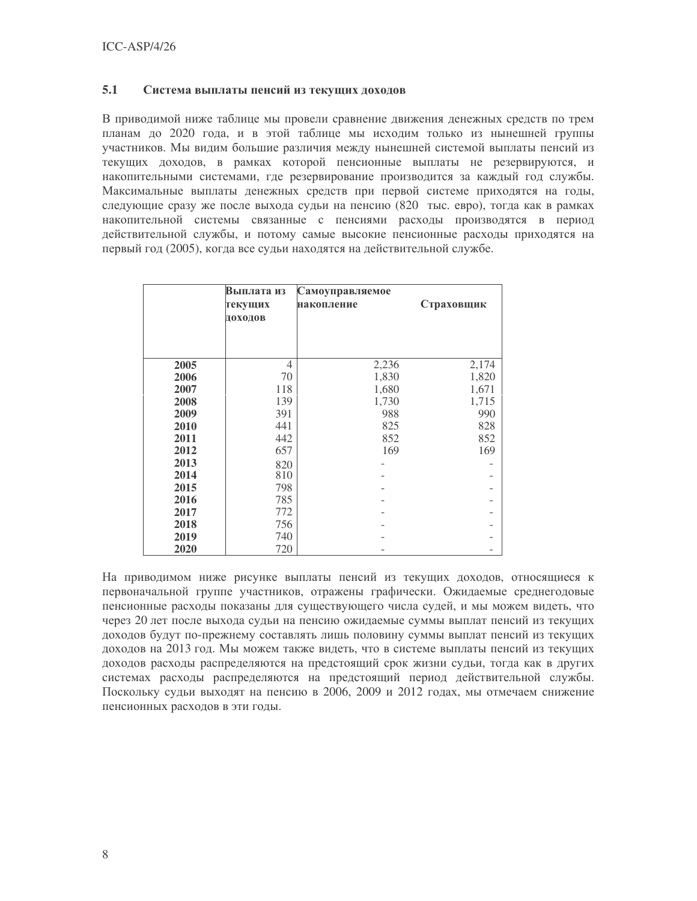## 5.1 Система выплаты пенсий из текущих доходов

В приводимой ниже таблице мы провели сравнение движения денежных средств по трем планам до 2020 года, и в этой таблице мы исходим только из нынешней группы участников. Мы видим большие различия между нынешней системой выплаты пенсий из текущих доходов, в рамках которой пенсионные выплаты не резервируются, и накопительными системами, где резервирование производится за каждый год службы. Максимальные выплаты денежных средств при первой системе приходятся на годы, следующие сразу же после выхода судьи на пенсию (820 тыс. евро), тогда как в рамках накопительной системы связанные с пенсиями расходы производятся в период действительной службы, и потому самые высокие пенсионные расходы приходятся на первый год (2005), когда все судьи находятся на действительной службе.

|      | Выплата из<br>текущих<br>доходов | Самоуправляемое<br>накопление | Страховщик |
|------|----------------------------------|-------------------------------|------------|
| 2005 | 4                                | 2,236                         | 2,174      |
| 2006 | 70                               | 1,830                         | 1,820      |
| 2007 | 118                              | 1,680                         | 1,671      |
| 2008 | 139                              | 1,730                         | 1,715      |
| 2009 | 391                              | 988                           | 990        |
| 2010 | 441                              | 825                           | 828        |
| 2011 | 442                              | 852                           | 852        |
| 2012 | 657                              | 169                           | 169        |
| 2013 | 820                              |                               |            |
| 2014 | 810                              |                               |            |
| 2015 | 798                              |                               | -          |
| 2016 | 785                              |                               |            |
| 2017 | 772                              |                               |            |
| 2018 | 756                              |                               | -          |
| 2019 | 740                              |                               |            |
| 2020 | 720                              |                               |            |

На приводимом ниже рисунке выплаты пенсий из текущих доходов, относящиеся к первоначальной группе участников, отражены графически. Ожидаемые среднегодовые пенсионные расходы показаны для существующего числа судей, и мы можем видеть, что через 20 лет после выхода судьи на пенсию ожидаемые суммы выплат пенсий из текущих доходов будут по-прежнему составлять лишь половину суммы выплат пенсий из текущих доходов на 2013 год. Мы можем также видеть, что в системе выплаты пенсий из текущих доходов расходы распределяются на предстоящий срок жизни судьи, тогда как в других системах расходы распределяются на предстоящий период действительной службы. Поскольку судьи выходят на пенсию в 2006, 2009 и 2012 годах, мы отмечаем снижение пенсионных расходов в эти годы.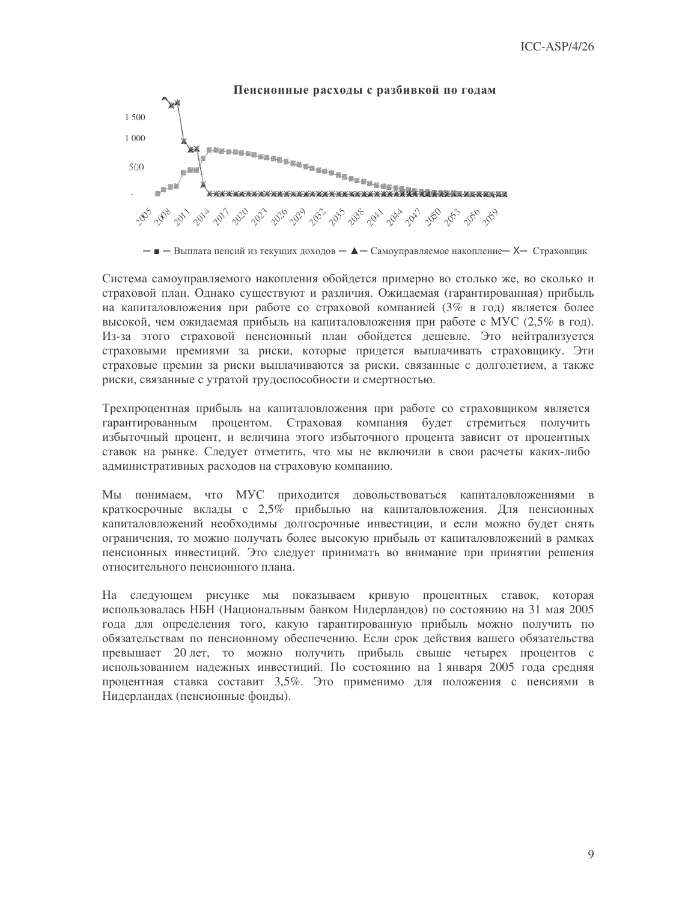

- - - Выплата пенсий из текущих доходов -  $\blacktriangle$  - Самоуправляемое накопление - X - Страховщик

Система самоуправляемого накопления обойдется примерно во столько же, во сколько и страховой план. Однако существуют и различия. Ожидаемая (гарантированная) прибыль на капиталовложения при работе со страховой компанией (3% в год) является более высокой, чем ожидаемая прибыль на капиталовложения при работе с МУС (2,5% в год). Из-за этого страховой пенсионный план обойдется дешевле. Это нейтрализуется страховыми премиями за риски, которые придется выплачивать страховщику. Эти страховые премии за риски выплачиваются за риски, связанные с долголетием, а также риски, связанные с утратой трудоспособности и смертностью.

Трехпроцентная прибыль на капиталовложения при работе со страховщиком является гарантированным процентом. Страховая компания будет стремиться получить избыточный процент, и величина этого избыточного процента зависит от процентных ставок на рынке. Следует отметить, что мы не включили в свои расчеты каких-либо административных расходов на страховую компанию.

Мы понимаем, что МУС приходится довольствоваться капиталовложениями в краткосрочные вклады с 2.5% прибылью на капиталовложения. Для пенсионных капиталовложений необходимы долгосрочные инвестиции, и если можно будет снять ограничения, то можно получать более высокую прибыль от капиталовложений в рамках пенсионных инвестиций. Это следует принимать во внимание при принятии решения относительного пенсионного плана.

На следующем рисунке мы показываем кривую процентных ставок, которая использовалась НБН (Национальным банком Нидерландов) по состоянию на 31 мая 2005 года для определения того, какую гарантированную прибыль можно получить по обязательствам по пенсионному обеспечению. Если срок действия вашего обязательства превышает 20 лет, то можно получить прибыль свыше четырех процентов с использованием надежных инвестиций. По состоянию на 1 января 2005 года средняя процентная ставка составит 3,5%. Это применимо для положения с пенсиями в Нидерландах (пенсионные фонды).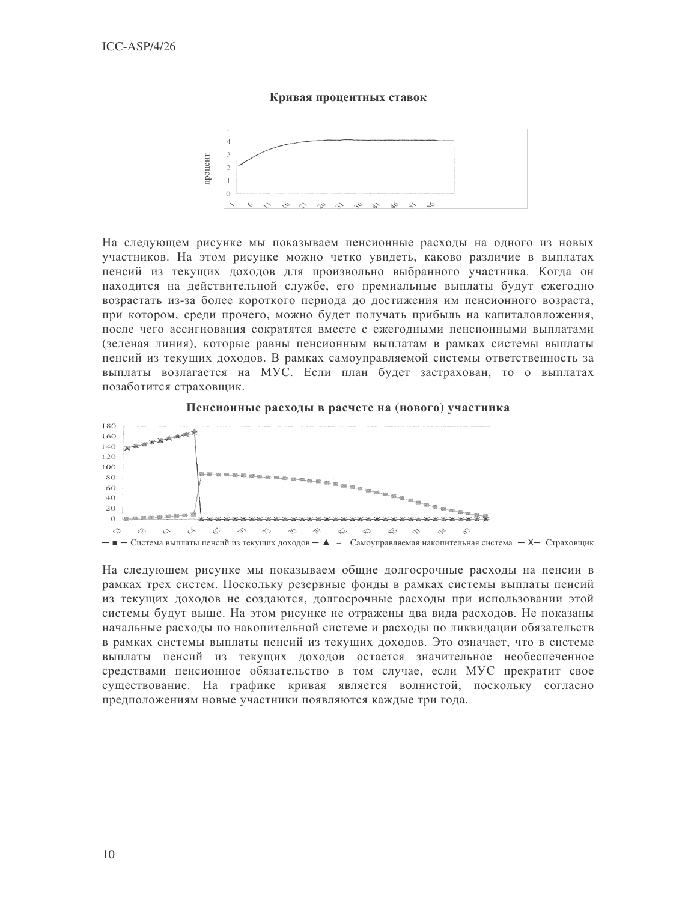### Кривая процентных ставок



На следующем рисунке мы показываем пенсионные расходы на одного из новых участников. На этом рисунке можно четко увидеть, каково различие в выплатах пенсий из текущих доходов для произвольно выбранного участника. Когда он находится на действительной службе, его премиальные выплаты будут ежегодно возрастать из-за более короткого периода до достижения им пенсионного возраста, при котором, среди прочего, можно будет получать прибыль на капиталовложения, после чего ассигнования сократятся вместе с ежегодными пенсионными выплатами (зеленая линия), которые равны пенсионным выплатам в рамках системы выплаты пенсий из текущих доходов. В рамках самоуправляемой системы ответственность за выплаты возлагается на МУС. Если план будет застрахован, то о выплатах позаботится страховщик.



Пенсионные расходы в расчете на (нового) участника

На следующем рисунке мы показываем общие долгосрочные расходы на пенсии в рамках трех систем. Поскольку резервные фонды в рамках системы выплаты пенсий из текущих доходов не создаются, долгосрочные расходы при использовании этой системы будут выше. На этом рисунке не отражены два вида расходов. Не показаны начальные расходы по накопительной системе и расходы по ликвидации обязательств в рамках системы выплаты пенсий из текущих доходов. Это означает, что в системе выплаты пенсий из текущих доходов остается значительное необеспеченное средствами пенсионное обязательство в том случае, если МУС прекратит свое существование. На графике кривая является волнистой, поскольку согласно предположениям новые участники появляются каждые три года.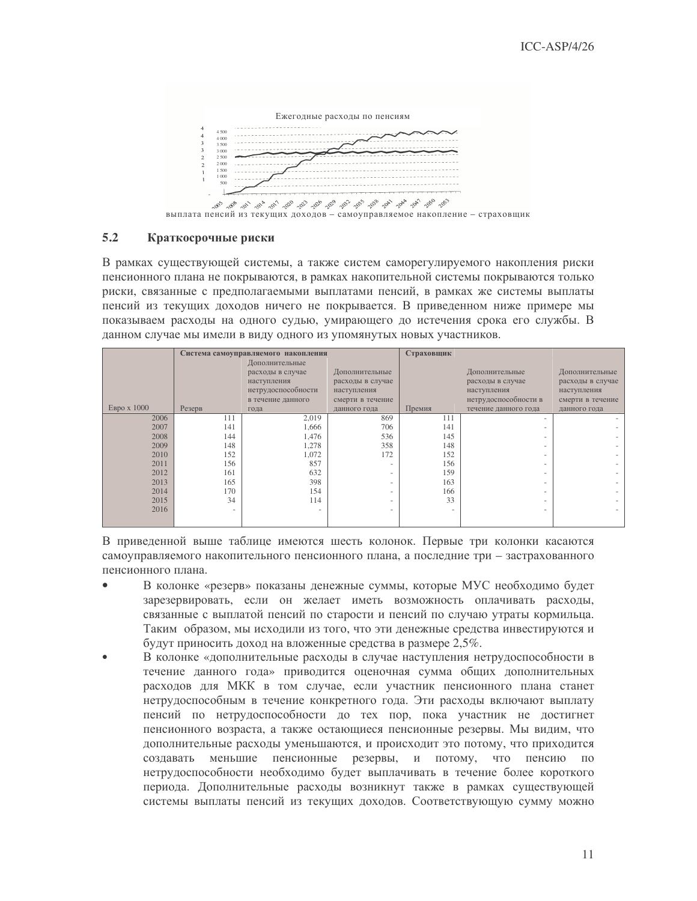

## 5.2 Краткосрочные риски

В рамках существующей системы, а также систем саморегулируемого накопления риски пенсионного плана не покрываются, в рамках накопительной системы покрываются только риски, связанные с предполагаемыми выплатами пенсий, в рамках же системы выплаты пенсий из текущих доходов ничего не покрывается. В приведенном ниже примере мы показываем расходы на одного судью, умирающего до истечения срока его службы. В данном случае мы имели в виду одного из упомянутых новых участников.

|                    | Система самоуправляемого накопления |                    |                          | Страховщик               |                          |                  |
|--------------------|-------------------------------------|--------------------|--------------------------|--------------------------|--------------------------|------------------|
|                    |                                     | Дополнительные     |                          |                          |                          |                  |
|                    |                                     | расходы в случае   | Дополнительные           |                          | Дополнительные           | Дополнительные   |
|                    |                                     | наступления        | расходы в случае         |                          | расходы в случае         | расходы в случае |
|                    |                                     | нетрудоспособности | наступления              |                          | наступления              | наступления      |
|                    |                                     | в течение данного  | смерти в течение         |                          | нетрудоспособности в     | смерти в течение |
| <b>Евро х 1000</b> | Резерв                              | года               | данного года             | Премия                   | течение данного года     | данного года     |
| 2006               | 111                                 | 2,019              | 869                      | 111                      | $\overline{\phantom{a}}$ |                  |
| 2007               | 141                                 | 1,666              | 706                      | 141                      | $\overline{\phantom{a}}$ |                  |
| 2008               | 144                                 | 1,476              | 536                      | 145                      |                          |                  |
| 2009               | 148                                 | 1,278              | 358                      | 148                      | $\overline{\phantom{a}}$ |                  |
| 2010               | 152                                 | 1,072              | 172                      | 152                      |                          |                  |
| 2011               | 156                                 | 857                | $\overline{\phantom{a}}$ | 156                      | $\overline{\phantom{a}}$ |                  |
| 2012               | 161                                 | 632                | $\overline{\phantom{a}}$ | 159                      | $\overline{\phantom{a}}$ |                  |
| 2013               | 165                                 | 398                | $\overline{\phantom{a}}$ | 163                      | $\overline{\phantom{a}}$ |                  |
| 2014               | 170                                 | 154                | $\overline{\phantom{a}}$ | 166                      | $\overline{\phantom{a}}$ |                  |
| 2015               | 34                                  | 114                | $\overline{\phantom{a}}$ | 33                       | $\overline{\phantom{a}}$ |                  |
| 2016               | ٠                                   |                    |                          | $\overline{\phantom{a}}$ |                          |                  |
|                    |                                     |                    |                          |                          |                          |                  |

В приведенной выше таблице имеются шесть колонок. Первые три колонки касаются самоуправляемого накопительного пенсионного плана, а последние три - застрахованного пенсионного плана.

- В колонке «резерв» показаны денежные суммы, которые МУС необходимо будет зарезервировать, если он желает иметь возможность оплачивать расходы, связанные с выплатой пенсий по старости и пенсий по случаю утраты кормильца. Таким образом, мы исходили из того, что эти денежные средства инвестируются и будут приносить доход на вложенные средства в размере 2,5%.
- В колонке «дополнительные расходы в случае наступления нетрудоспособности в течение данного года» приводится оценочная сумма общих дополнительных расходов для МКК в том случае, если участник пенсионного плана станет нетрудоспособным в течение конкретного года. Эти расходы включают выплату пенсий по нетрудоспособности до тех пор, пока участник не достигнет пенсионного возраста, а также остающиеся пенсионные резервы. Мы видим, что дополнительные расходы уменьшаются, и происходит это потому, что приходится создава ть меньшие пенсионные резервы, и потому, что пенсию по нетрудоспособности необходимо будет выплачивать в течение более короткого периода. Дополнительные расходы возникнут также в рамках существующей системы выплаты пенсий из текущих доходов. Соответствующую сумму можно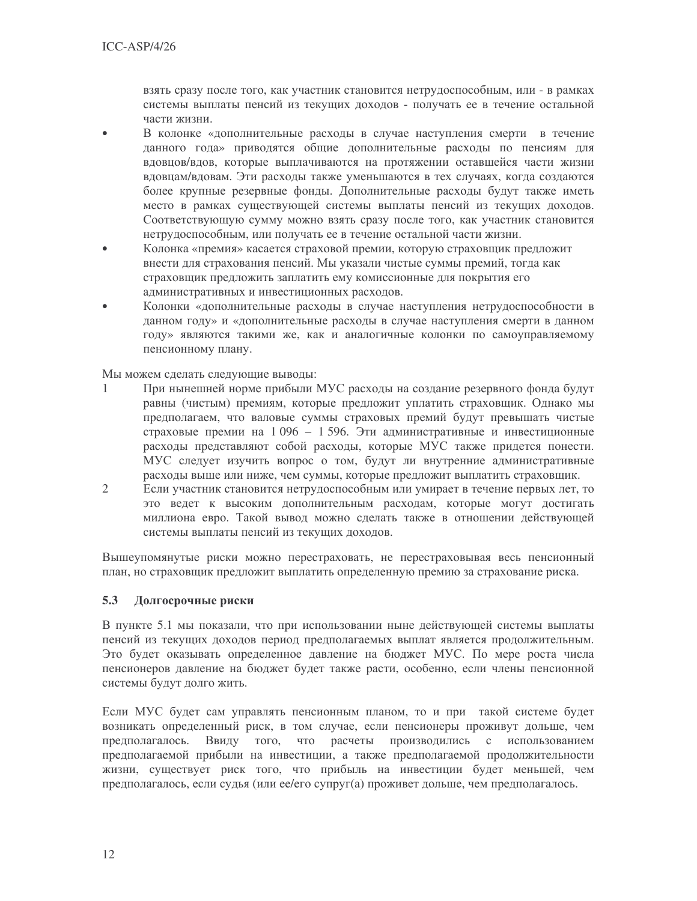взять сразу после того, как участник становится нетрудоспособным, или - в рамках системы выплаты пенсий из текущих доходов - получать ее в течение остальной части жизни.

- В колонке «дополнительные расходы в случае наступления смерти в течение данного года» приводятся общие дополнительные расходы по пенсиям для вдовцов/вдов, которые выплачиваются на протяжении оставшейся части жизни вдовцам/вдовам. Эти расходы также уменьшаются в тех случаях, когда создаются более крупные резервные фонды. Дополнительные расходы будут также иметь место в рамках существующей системы выплаты пенсий из текущих доходов. Соответствующую сумму можно взять сразу после того, как участник становится нетрудоспособным, или получать ее в течение остальной части жизни.
- Колонка «премия» касается страховой премии, которую страховщик предложит  $\bullet$ внести для страхования пенсий. Мы указали чистые суммы премий, тогда как страховщик предложить заплатить ему комиссионные для покрытия его административных и инвестиционных расходов.
- Колонки «дополнительные расходы в случае наступления нетрудоспособности в данном году» и «дополнительные расходы в случае наступления смерти в данном году» являются такими же, как и аналогичные колонки по самоуправляемому пенсионному плану.

Мы можем сделать следующие выводы:

- $\mathbf{1}$ При нынешней норме прибыли МУС расходы на создание резервного фонда будут равны (чистым) премиям, которые предложит уплатить страховщик. Однако мы предполагаем, что валовые суммы страховых премий будут превышать чистые страховые премии на 1 096 - 1 596. Эти административные и инвестиционные расходы представляют собой расходы, которые МУС также придется понести. МУС следует изучить вопрос о том, будут ли внутренние административные расходы выше или ниже, чем суммы, которые предложит выплатить страховщик.
- $\overline{2}$ Если участник становится нетрудоспособным или умирает в течение первых лет, то это ведет к высоким дополнительным расходам, которые могут достигать миллиона евро. Такой вывод можно сделать также в отношении действующей системы выплаты пенсий из текущих доходов.

Вышеупомянутые риски можно перестраховать, не перестраховывая весь пенсионный план, но страховщик предложит выплатить определенную премию за страхование риска.

#### 5.3 Долгосрочные риски

В пункте 5.1 мы показали, что при использовании ныне действующей системы выплаты пенсий из текущих доходов период предполагаемых выплат является продолжительным. Это будет оказывать определенное давление на бюджет МУС. По мере роста числа пенсионеров давление на бюджет будет также расти, особенно, если члены пенсионной системы будут долго жить.

Если МУС будет сам управлять пенсионным планом, то и при такой системе будет возникать определенный риск, в том случае, если пенсионеры проживут дольше, чем предполагалось. Ввиду того, что расчеты производились с использованием предполагаемой прибыли на инвестиции, а также предполагаемой продолжительности жизни, существует риск того, что прибыль на инвестиции будет меньшей, чем предполагалось, если судья (или ее/его супруг(а) проживет дольше, чем предполагалось.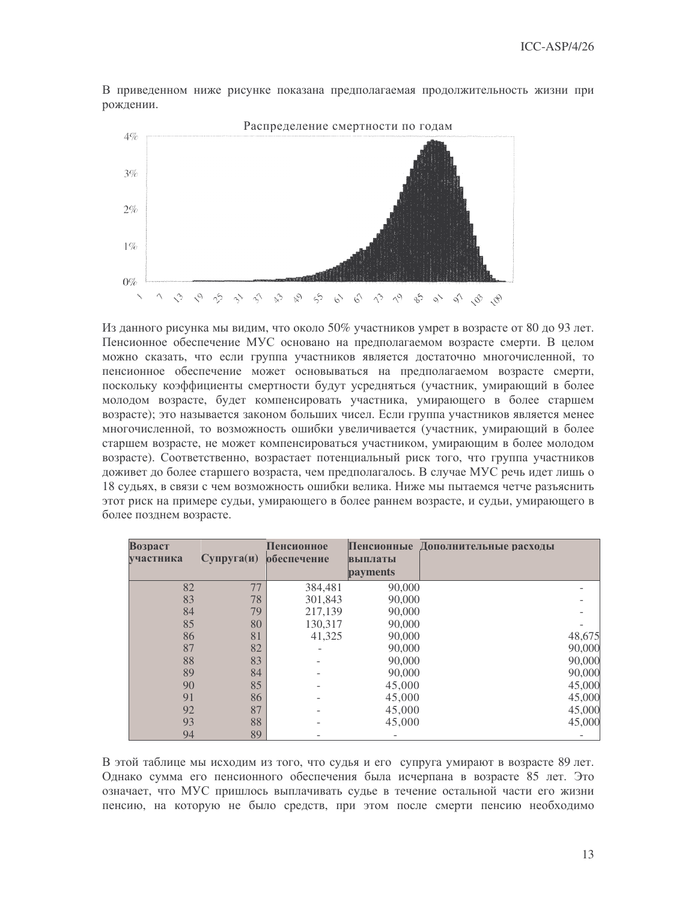В приведенном ниже рисунке показана предполагаемая продолжительность жизни при рождении.



Из данного рисунка мы видим, что около 50% участников умрет в возрасте от 80 до 93 лет. Пенсионное обеспечение МУС основано на предполагаемом возрасте смерти. В целом можно сказать, что если группа участников является достаточно многочисленной, то пенсионное обеспечение может основываться на предполагаемом возрасте смерти, поскольку коэффициенты смертности будут усредняться (участник, умирающий в более молодом возрасте, будет компенсировать участника, умирающего в более старшем возрасте); это называется законом больших чисел. Если группа участников является менее многочисленной, то возможность ошибки увеличивается (участник, умирающий в более старшем возрасте, не может компенсироваться участником, умирающим в более молодом возрасте). Соответственно, возрастает потенциальный риск того, что группа участников доживет до более старшего возраста, чем предполагалось. В случае МУС речь идет лишь о 18 судьях, в связи с чем возможность ошибки велика. Ниже мы пытаемся четче разъяснить этот риск на примере судьи, умирающего в более раннем возрасте, и судьи, умирающего в более позднем возрасте.

| <b>Возраст</b> |            | Пенсионное  | Пенсионные      | Дополнительные расходы |        |
|----------------|------------|-------------|-----------------|------------------------|--------|
| участника      | Cynpyra(u) | обеспечение | выплаты         |                        |        |
|                |            |             | <b>payments</b> |                        |        |
| 82             | 77         | 384,481     | 90,000          |                        |        |
| 83             | 78         | 301,843     | 90,000          |                        |        |
| 84             | 79         | 217,139     | 90,000          |                        |        |
| 85             | 80         | 130,317     | 90,000          |                        |        |
| 86             | 81         | 41,325      | 90,000          |                        | 48,675 |
| 87             | 82         |             | 90,000          |                        | 90,000 |
| 88             | 83         |             | 90,000          |                        | 90,000 |
| 89             | 84         |             | 90,000          |                        | 90,000 |
| 90             | 85         |             | 45,000          |                        | 45,000 |
| 91             | 86         |             | 45,000          |                        | 45,000 |
| 92             | 87         |             | 45,000          |                        | 45,000 |
| 93             | 88         |             | 45,000          |                        | 45,000 |
| 94             | 89         |             |                 |                        |        |

В этой таблице мы исходим из того, что судья и его супруга умирают в возрасте 89 лет. Однако сумма его пенсионного обеспечения была исчерпана в возрасте 85 лет. Это означает, что МУС пришлось выплачивать судье в течение остальной части его жизни пенсию, на которую не было средств, при этом после смерти пенсию необходимо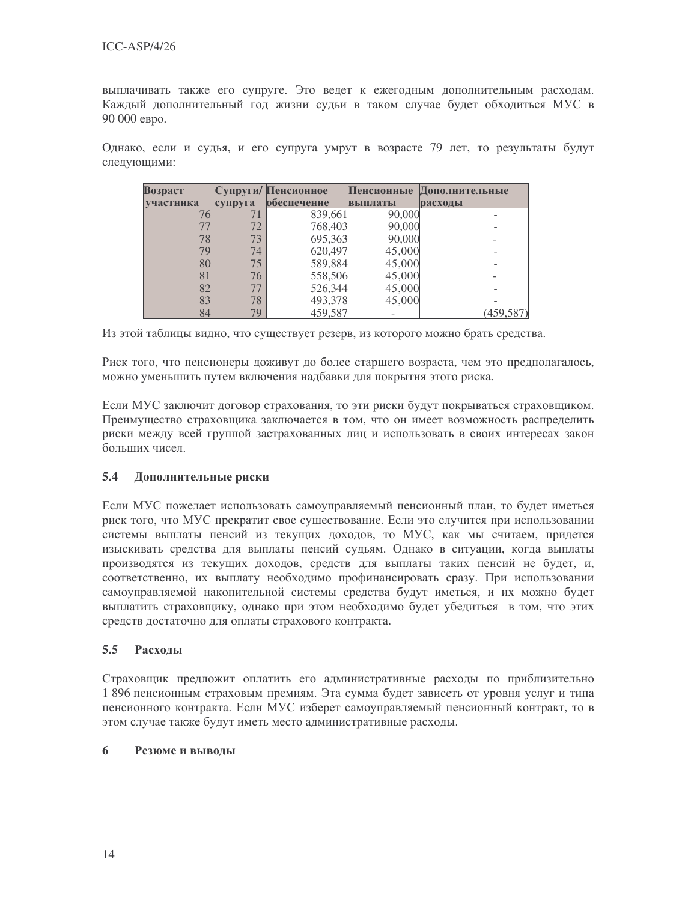выплачивать также его супруге. Это ведет к ежегодным дополнительным расходам. Каждый дополнительный год жизни судьи в таком случае будет обходиться МУС в 90 000 евро.

Однако, если и судья, и его супруга умрут в возрасте 79 лет, то результаты будут следующими:

| <b>Возраст</b> |         | Супруги/Пенсионное | Пенсионные | Дополнительные |
|----------------|---------|--------------------|------------|----------------|
| участника      | супруга | обеспечение        | выплаты    | расходы        |
| 76             |         | 839,661            | 90,000     |                |
| 77             | 72      | 768,403            | 90,000     |                |
| 78             | 73      | 695,363            | 90,000     |                |
| 79             | 74      | 620,497            | 45,000     |                |
| 80             | 75      | 589,884            | 45,000     |                |
| 81             | 76      | 558,506            | 45,000     |                |
| 82             | 77      | 526,344            | 45,000     |                |
| 83             | 78      | 493,378            | 45,000     |                |
| 84             | 79      | 459,587            |            | (459, 587)     |

Из этой таблицы видно, что существует резерв, из которого можно брать средства.

Риск того, что пенсионеры доживут до более старшего возраста, чем это предполагалось, можно уменьшить путем включения надбавки для покрытия этого риска.

Если МУС заключит договор страхования, то эти риски будут покрываться страховщиком. Преимущество страховщика заключается в том, что он имеет возможность распределить риски между всей группой застрахованных лиц и использовать в своих интересах закон больших чисел.

#### $5.4$ Дополнительные риски

Если МУС пожелает использовать самоуправляемый пенсионный план, то будет иметься риск того, что МУС прекратит свое существование. Если это случится при использовании системы выплаты пенсий из текущих доходов, то МУС, как мы считаем, придется изыскивать средства для выплаты пенсий судьям. Однако в ситуации, когда выплаты производятся из текущих доходов, средств для выплаты таких пенсий не будет, и, соответственно, их выплату необходимо профинансировать сразу. При использовании самоуправляемой накопительной системы средства будут иметься, и их можно будет выплатить страховщику, однако при этом необходимо будет убедиться в том, что этих средств достаточно для оплаты страхового контракта.

#### $5.5$ Расхолы

Страховщик предложит оплатить его административные расходы по приблизительно 1 896 пенсионным страховым премиям. Эта сумма будет зависеть от уровня услуг и типа пенсионного контракта. Если МУС изберет самоуправляемый пенсионный контракт, то в этом случае также будут иметь место административные расходы.

#### 6 Резюме и выволы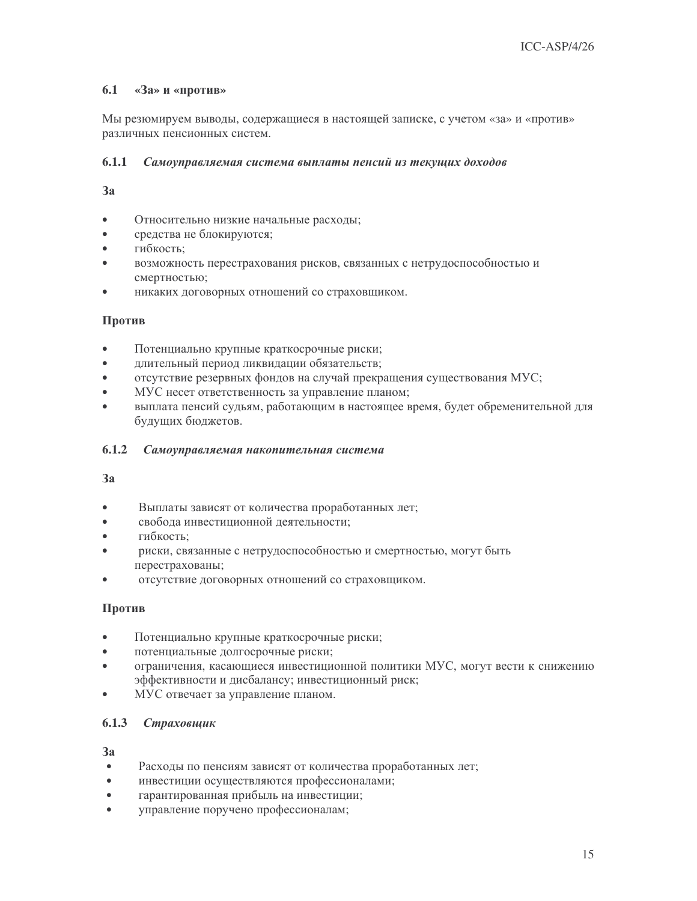#### $6.1$ «За» и «против»

Мы резюмируем выводы, содержащиеся в настоящей записке, с учетом «за» и «против» различных пенсионных систем.

#### 6.1.1 Самоуправляемая система выплаты пенсий из текущих доходов

### $a^2$

- Относительно низкие начальные расходы;  $\bullet$
- средства не блокируются;  $\bullet$
- гибкость;  $\bullet$
- возможность перестрахования рисков, связанных с нетрудоспособностью и  $\bullet$ смертностью;
- никаких договорных отношений со страховщиком.

### Против

- $\bullet$ Потенциально крупные краткосрочные риски;
- длительный период ликвидации обязательств;  $\bullet$
- отсутствие резервных фондов на случай прекращения существования МУС;  $\bullet$
- $\bullet$ МУС несет ответственность за управление планом;
- выплата пенсий судьям, работающим в настоящее время, будет обременительной для будущих бюджетов.

#### $6.1.2$ Самоуправляемая накопительная система

### $\mathbf{a}$

- $\bullet$ Выплаты зависят от количества проработанных лет;
- свобода инвестиционной деятельности;  $\bullet$
- гибкость:  $\bullet$
- риски, связанные с нетрудоспособностью и смертностью, могут быть  $\bullet$ перестрахованы;
- $\bullet$ отсутствие договорных отношений со страховщиком.

### Против

- $\bullet$ Потенциально крупные краткосрочные риски;
- потенциальные долгосрочные риски;  $\bullet$
- ограничения, касающиеся инвестиционной политики МУС, могут вести к снижению  $\bullet$ эффективности и дисбалансу; инвестиционный риск;
- МУС отвечает за управление планом.

#### $6.1.3$ Страховшик

 $3a$ 

- Расходы по пенсиям зависят от количества проработанных лет;  $\bullet$
- $\bullet$ инвестиции осуществляются профессионалами;
- гарантированная прибыль на инвестиции;  $\bullet$
- управление поручено профессионалам;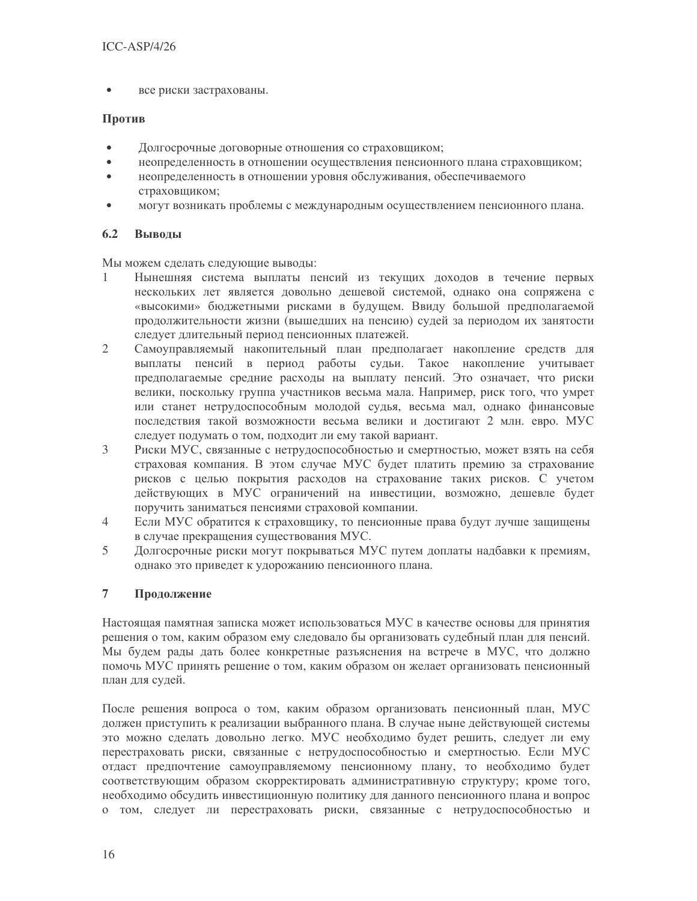### $ICC-ASP/4/26$

 $\bullet$ все риски застрахованы.

## Против

- Долгосрочные договорные отношения со страховщиком;  $\bullet$
- неопределенность в отношении осуществления пенсионного плана страховщиком;  $\bullet$
- неопределенность в отношении уровня обслуживания, обеспечиваемого страховщиком;
- $\bullet$ могут возникать проблемы с международным осуществлением пенсионного плана.

#### $6.2$ Выволы

Мы можем сделать следующие выводы:

- Нынешняя система выплаты пенсий из текущих доходов в течение первых  $\mathbf{1}$ нескольких лет является довольно дешевой системой, однако она сопряжена с «высокими» бюджетными рисками в будущем. Ввиду большой предполагаемой продолжительности жизни (вышедших на пенсию) судей за периодом их занятости следует длительный период пенсионных платежей.
- $\overline{2}$ Самоуправляемый накопительный план предполагает накопление средств для выплаты пенсий в период работы судьи. Такое накопление учитывает предполагаемые средние расходы на выплату пенсий. Это означает, что риски велики, поскольку группа участников весьма мала. Например, риск того, что умрет или станет нетрудоспособным молодой судья, весьма мал, однако финансовые последствия такой возможности весьма велики и достигают 2 млн. евро. МУС следует подумать о том, подходит ли ему такой вариант.
- $\overline{3}$ Риски МУС, связанные с нетрудоспособностью и смертностью, может взять на себя страховая компания. В этом случае МУС будет платить премию за страхование рисков с целью покрытия расходов на страхование таких рисков. С учетом действующих в МУС ограничений на инвестиции, возможно, дешевле будет поручить заниматься пенсиями страховой компании.
- Если МУС обратится к страховщику, то пенсионные права будут лучше защищены  $\overline{4}$ в случае прекращения существования МУС.
- 5 Долгосрочные риски могут покрываться МУС путем доплаты надбавки к премиям, однако это приведет к удорожанию пенсионного плана.

#### $\overline{7}$ Продолжение

Настоящая памятная записка может использоваться МУС в качестве основы для принятия решения о том, каким образом ему следовало бы организовать судебный план для пенсий. Мы будем рады дать более конкретные разъяснения на встрече в МУС, что должно помочь МУС принять решение о том, каким образом он желает организовать пенсионный план для судей.

После решения вопроса о том, каким образом организовать пенсионный план, МУС должен приступить к реализации выбранного плана. В случае ныне действующей системы это можно сделать довольно легко. МУС необходимо будет решить, следует ли ему перестраховать риски, связанные с нетрудоспособностью и смертностью. Если МУС отдаст предпочтение самоуправляемому пенсионному плану, то необходимо будет соответствующим образом скорректировать административную структуру; кроме того, необходимо обсудить инвестиционную политику для данного пенсионного плана и вопрос о том, следует ли перестраховать риски, связанные с нетрудоспособностью и